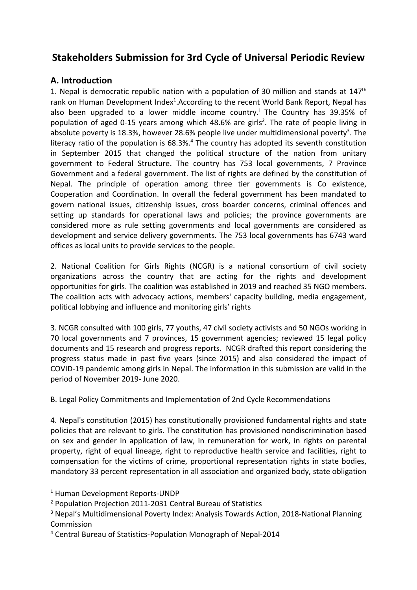# **Stakeholders Submission for 3rd Cycle of Universal Periodic Review**

# **A. Introduction**

1. Nepal is democratic republic nation with a population of 30 million and stands at  $147<sup>th</sup>$ rank on Human Development Index<sup>1</sup>.According to the recent World Bank Report, Nepal has also been upgraded to <sup>a</sup> lower middle income country. i The Country has 39.35% of population of aged 0-15 years among which 48.6% are girls<sup>2</sup>. The rate of people living in absolute poverty is 18.3%, however 28.6% people live under multidimensional poverty<sup>3</sup>. The literacy ratio of the population is 68.3%.<sup>4</sup> The country has adopted its seventh constitution in September 2015 that changed the political structure of the nation from unitary government to Federal Structure. The country has 753 local governments, 7 Province Government and <sup>a</sup> federal government. The list of rights are defined by the constitution of Nepal. The principle of operation among three tier governments is Co existence, Cooperation and Coordination. In overall the federal government has been mandated to govern national issues, citizenship issues, cross boarder concerns, criminal offences and setting up standards for operational laws and policies; the province governments are considered more as rule setting governments and local governments are considered as development and service delivery governments. The 753 local governments has 6743 ward offices as local units to provide services to the people.

2. National Coalition for Girls Rights (NCGR) is <sup>a</sup> national consortium of civil society organizations across the country that are acting for the rights and development opportunities for girls. The coalition was established in 2019 and reached 35 NGO members. The coalition acts with advocacy actions, members' capacity building, media engagement, political lobbying and influence and monitoring girls' rights

3. NCGR consulted with 100 girls, 77 youths, 47 civil society activists and 50 NGOs working in 70 local governments and 7 provinces, 15 government agencies; reviewed 15 legal policy documents and 15 research and progress reports. NCGR drafted this report considering the progress status made in past five years (since 2015) and also considered the impact of COVID-19 pandemic among girls in Nepal. The information in this submission are valid in the period of November 2019- June 2020.

# B. Legal Policy Commitments and Implementation of 2nd Cycle Recommendations

4. Nepal's constitution (2015) has constitutionally provisioned fundamental rights and state policies that are relevant to girls. The constitution has provisioned nondiscrimination based on sex and gender in application of law, in remuneration for work, in rights on parental property, right of equal lineage, right to reproductive health service and facilities, right to compensation for the victims of crime, proportional representation rights in state bodies, mandatory 33 percent representation in all association and organized body, state obligation

<sup>1</sup> Human Development Reports-UNDP

<sup>&</sup>lt;sup>2</sup> Population Projection 2011-2031 Central Bureau of Statistics

<sup>&</sup>lt;sup>3</sup> Nepal's Multidimensional Poverty Index: Analysis Towards Action, 2018-National Planning Commission

<sup>4</sup> Central Bureau of Statistics-Population Monograph of Nepal-2014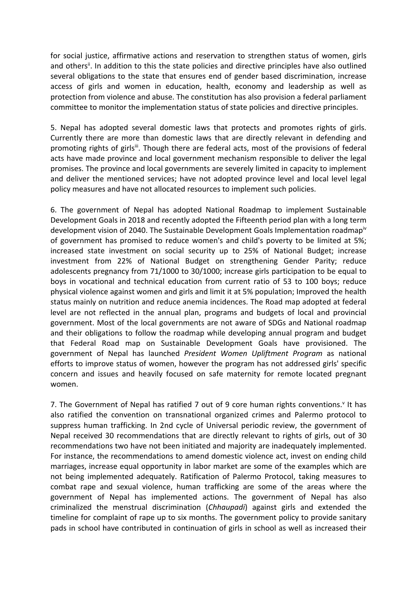for social justice, affirmative actions and reservation to strengthen status of women, girls and others<sup>ii</sup>. In addition to this the state policies and directive principles have also outlined several obligations to the state that ensures end of gender based discrimination, increase access of girls and women in education, health, economy and leadership as well as protection from violence and abuse. The constitution has also provision <sup>a</sup> federal parliament committee to monitor the implementation status of state policies and directive principles.

5. Nepal has adopted several domestic laws that protects and promotes rights of girls. Currently there are more than domestic laws that are directly relevant in defending and promoting rights of girls<sup>ii</sup>. Though there are federal acts, most of the provisions of federal acts have made province and local government mechanism responsible to deliver the legal promises. The province and local governments are severely limited in capacity to implement and deliver the mentioned services; have not adopted province level and local level legal policy measures and have not allocated resources to implement such policies.

6. The government of Nepal has adopted National Roadmap to implement Sustainable Development Goals in 2018 and recently adopted the Fifteenth period plan with <sup>a</sup> long term development vision of 2040. The Sustainable Development Goals Implementation roadmap<sup>iv</sup> of government has promised to reduce women's and child's poverty to be limited at 5%; increased state investment on social security up to 25% of National Budget; increase investment from 22% of National Budget on strengthening Gender Parity; reduce adolescents pregnancy from 71/1000 to 30/1000; increase girls participation to be equal to boys in vocational and technical education from current ratio of 53 to 100 boys; reduce physical violence against women and girls and limit it at 5% population; Improved the health status mainly on nutrition and reduce anemia incidences. The Road map adopted at federal level are not reflected in the annual plan, programs and budgets of local and provincial government. Most of the local governments are not aware of SDGs and National roadmap and their obligations to follow the roadmap while developing annual program and budget that Federal Road map on Sustainable Development Goals have provisioned. The government of Nepal has launched *President Women Upliftment Program* as national efforts to improve status of women, however the program has not addressed girls' specific concern and issues and heavily focused on safe maternity for remote located pregnant women.

7. The Government of Nepal has ratified 7 out of 9 core human rights conventions.<sup>v</sup> It has also ratified the convention on transnational organized crimes and Palermo protocol to suppress human trafficking. In 2nd cycle of Universal periodic review, the government of Nepal received 30 recommendations that are directly relevant to rights of girls, out of 30 recommendations two have not been initiated and majority are inadequately implemented. For instance, the recommendations to amend domestic violence act, invest on ending child marriages, increase equal opportunity in labor market are some of the examples which are not being implemented adequately. Ratification of Palermo Protocol, taking measures to combat rape and sexual violence, human trafficking are some of the areas where the government of Nepal has implemented actions. The government of Nepal has also criminalized the menstrual discrimination (*Chhaupadi*) against girls and extended the timeline for complaint of rape up to six months. The government policy to provide sanitary pads in school have contributed in continuation of girls in school as well as increased their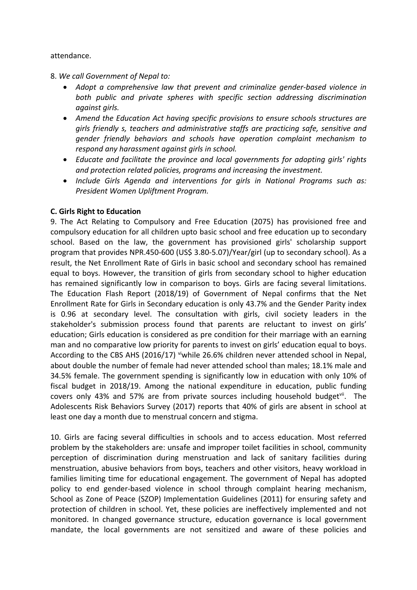#### attendance.

- 8. *We call Government of Nepal to:*
	- . *Adopt <sup>a</sup> comprehensive law that prevent and criminalize gender-based violence in both public and private spheres with specific section addressing discrimination against girls.*
	- *Amend the Education Act having specific provisions to ensure schools structures are girls friendly s, teachers and administrative staffs are practicing safe, sensitive and gender friendly behaviors and schools have operation complaint mechanism to respond any harassment against girls in school.*
	- *Educate and facilitate the province and local governments for adopting girls' rights and protection related policies, programs and increasing the investment.*
	- *Include Girls Agenda and interventions for girls in National Programs such as: President Women Upliftment Program.*

#### **C. Girls Right to Education**

9. The Act Relating to Compulsory and Free Education (2075) has provisioned free and compulsory education for all children upto basic school and free education up to secondary school. Based on the law, the government has provisioned girls' scholarship support program that provides NPR.450-600 (US\$ 3.80-5.07)/Year/girl (up to secondary school). As <sup>a</sup> result, the Net Enrollment Rate of Girls in basic school and secondary school has remained equal to boys. However, the transition of girls from secondary school to higher education has remained significantly low in comparison to boys. Girls are facing several limitations. The Education Flash Report (2018/19) of Government of Nepal confirms that the Net Enrollment Rate for Girls in Secondary education is only 43.7% and the Gender Parity index is 0.96 at secondary level. The consultation with girls, civil society leaders in the stakeholder's submission process found that parents are reluctant to invest on girls' education; Girls education is considered as pre condition for their marriage with an earning man and no comparative low priority for parents to invest on girls' education equal to boys. According to the CBS AHS (2016/17) <sup>vi</sup>while 26.6% children never attended school in Nepal, about double the number of female had never attended school than males; 18.1% male and 34.5% female. The government spending is significantly low in education with only 10% of fiscal budget in 2018/19. Among the national expenditure in education, public funding covers only 43% and 57% are from private sources including household budget<sup>vii</sup>. The Adolescents Risk Behaviors Survey (2017) reports that 40% of girls are absent in school at least one day <sup>a</sup> month due to menstrual concern and stigma.

10. Girls are facing several difficulties in schools and to access education. Most referred problem by the stakeholders are: unsafe and improper toilet facilities in school, community perception of discrimination during menstruation and lack of sanitary facilities during menstruation, abusive behaviors from boys, teachers and other visitors, heavy workload in families limiting time for educational engagement. The government of Nepal has adopted policy to end gender-based violence in school through complaint hearing mechanism, School as Zone of Peace (SZOP) Implementation Guidelines (2011) for ensuring safety and protection of children in school. Yet, these policies are ineffectively implemented and not monitored. In changed governance structure, education governance is local government mandate, the local governments are not sensitized and aware of these policies and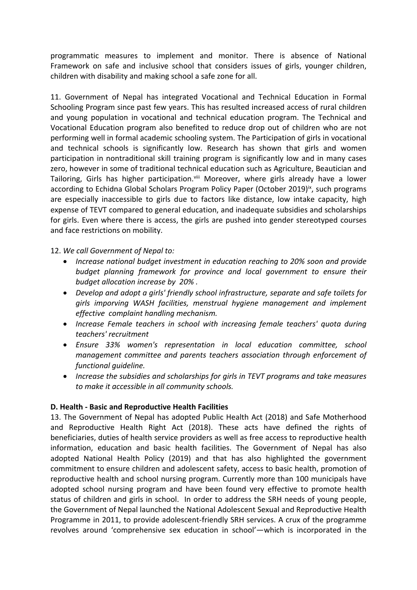programmatic measures to implement and monitor. There is absence of National Framework on safe and inclusive school that considers issues of girls, younger children, children with disability and making school <sup>a</sup> safe zone for all.

11. Government of Nepal has integrated Vocational and Technical Education in Formal Schooling Program since past few years. This has resulted increased access of rural children and young population in vocational and technical education program. The Technical and Vocational Education program also benefited to reduce drop out of children who are not performing well in formal academic schooling system. The Participation of girls in vocational and technical schools is significantly low. Research has shown that girls and women participation in nontraditional skill training program is significantly low and in many cases zero, however in some of traditional technical education such as Agriculture, Beautician and Tailoring, Girls has higher participation.<sup>viii</sup> Moreover, where girls already have a lower according to Echidna Global Scholars Program Policy Paper (October 2019)<sup>ix</sup>, such programs are especially inaccessible to girls due to factors like distance, low intake capacity, high expense of TEVT compared to general education, and inadequate subsidies and scholarships for girls. Even where there is access, the girls are pushed into gender stereotyped courses and face restrictions on mobility.

12. *We call Government of Nepal to:*

- . *Increase national budget investment in education reaching to 20% soon and provide budget planning framework for province and local government to ensure their budget allocation increase by 20% .*
- *Develop and adopt <sup>a</sup> girls' friendly school infrastructure, separate and safe toilets for girls imporving WASH facilities, menstrual hygiene management and implement effective complaint handling mechanism.*
- *Increase Female teachers in school with increasing female teachers' quota during teachers' recruitment*
- *Ensure 33% women's representation in local education committee, school management committee and parents teachers association through enforcement of functional guideline.*
- *Increase the subsidies and scholarships for girls in TEVT programs and take measures to make it accessible in all community schools.*

# **D. Health - Basic and Reproductive Health Facilities**

13. The Government of Nepal has adopted Public Health Act (2018) and Safe Motherhood and Reproductive Health Right Act (2018). These acts have defined the rights of beneficiaries, duties of health service providers as well as free access to reproductive health information, education and basic health facilities. The Government of Nepal has also adopted National Health Policy (2019) and that has also highlighted the government commitment to ensure children and adolescent safety, access to basic health, promotion of reproductive health and school nursing program. Currently more than 100 municipals have adopted school nursing program and have been found very effective to promote health status of children and girls in school. In order to address the SRH needs of young people, the Government of Nepal launched the National Adolescent Sexual and Reproductive Health Programme in 2011, to provide adolescent-friendly SRH services. A crux of the programme revolves around 'comprehensive sex education in school'—which is incorporated in the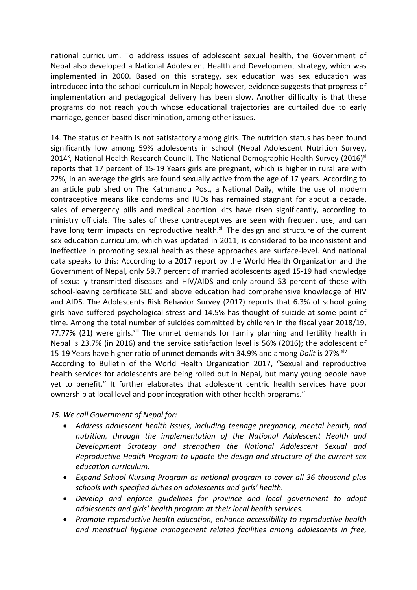national curriculum. To address issues of adolescent sexual health, the Government of Nepal also developed <sup>a</sup> National Adolescent Health and Development strategy, which was implemented in 2000. Based on this strategy, sex education was sex education was introduced into the school curriculum in Nepal; however, evidence suggests that progress of implementation and pedagogical delivery has been slow. Another difficulty is that these programs do not reach youth whose educational trajectories are curtailed due to early marriage, gender-based discrimination, among other issues.

14. The status of health is not satisfactory among girls. The nutrition status has been found significantly low among 59% adolescents in school (Nepal Adolescent Nutrition Survey, 2014<sup>x</sup>, National Health Research Council). The National Demographic Health Survey (2016)<sup>xi</sup> reports that 17 percent of 15-19 Years girls are pregnant, which is higher in rural are with 22%; in an average the girls are found sexually active from the age of 17 years. According to an article published on The Kathmandu Post, <sup>a</sup> National Daily, while the use of modern contraceptive means like condoms and IUDs has remained stagnant for about <sup>a</sup> decade, sales of emergency pills and medical abortion kits have risen significantly, according to ministry officials. The sales of these contraceptives are seen with frequent use, and can have long term impacts on reproductive health.<sup>xii</sup> The design and structure of the current sex education curriculum, which was updated in 2011, is considered to be inconsistent and ineffective in promoting sexual health as these approaches are surface-level. And national data speaks to this: According to <sup>a</sup> 2017 report by the World Health Organization and the Government of Nepal, only 59.7 percent of married adolescents aged 15-19 had knowledge of sexually transmitted diseases and HIV/AIDS and only around 53 percent of those with school-leaving certificate SLC and above education had comprehensive knowledge of HIV and AIDS. The Adolescents Risk Behavior Survey (2017) reports that 6.3% of school going girls have suffered psychological stress and 14.5% has thought of suicide at some point of time. Among the total number of suicides committed by children in the fiscal year 2018/19, 77.77% (21) were girls.<sup>xiii</sup> The unmet demands for family planning and fertility health in Nepal is 23.7% (in 2016) and the service satisfaction level is 56% (2016); the adolescent of 15-19 Years have higher ratio of unmet demands with 34.9% and among *Dalit* is 27% xiv According to Bulletin of the World Health Organization 2017, "Sexual and reproductive

health services for adolescents are being rolled out in Nepal, but many young people have yet to benefit." It further elaborates that adolescent centric health services have poor ownership at local level and poor integration with other health programs."

*15. We call Government of Nepal for:*

- $\bullet$  *Address adolescent health issues, including teenage pregnancy, mental health, and nutrition, through the implementation of the National Adolescent Health and Development Strategy and strengthen the National Adolescent Sexual and Reproductive Health Program to update the design and structure of the current sex education curriculum.*
- 0 *Expand School Nursing Program as national program to cover all 36 thousand plus schools with specified duties on adolescents and girls' health.*
- $\bullet$  *Develop and enforce guidelines for province and local government to adopt adolescents and girls' health program at their local health services.*
- $\bullet$  *Promote reproductive health education, enhance accessibility to reproductive health and menstrual hygiene management related facilities among adolescents in free,*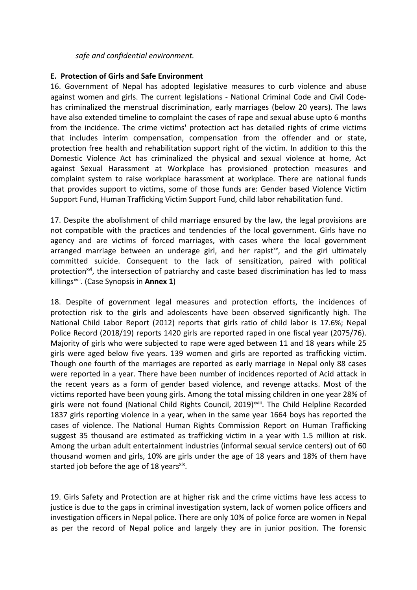#### *safe and confidential environment.*

#### **E. Protection of Girls and Safe Environment**

16. Government of Nepal has adopted legislative measures to curb violence and abuse against women and girls. The current legislations - National Criminal Code and Civil Codehas criminalized the menstrual discrimination, early marriages (below 20 years). The laws have also extended timeline to complaint the cases of rape and sexual abuse upto 6 months from the incidence. The crime victims' protection act has detailed rights of crime victims that includes interim compensation, compensation from the offender and or state, protection free health and rehabilitation support right of the victim. In addition to this the Domestic Violence Act has criminalized the physical and sexual violence at home, Act against Sexual Harassment at Workplace has provisioned protection measures and complaint system to raise workplace harassment at workplace. There are national funds that provides support to victims, some of those funds are: Gender based Violence Victim Support Fund, Human Trafficking Victim Support Fund, child labor rehabilitation fund.

17. Despite the abolishment of child marriage ensured by the law, the legal provisions are not compatible with the practices and tendencies of the local government. Girls have no agency and are victims of forced marriages, with cases where the local government arranged marriage between an underage girl, and her rapist<sup>xv</sup>, and the girl ultimately committed suicide. Consequent to the lack of sensitization, paired with political protection<sup>xvi</sup>, the intersection of patriarchy and caste based discrimination has led to mass killings xvii . (Case Synopsis in **Annex 1**)

18. Despite of government legal measures and protection efforts, the incidences of protection risk to the girls and adolescents have been observed significantly high. The National Child Labor Report (2012) reports that girls ratio of child labor is 17.6%; Nepal Police Record (2018/19) reports 1420 girls are reported raped in one fiscal year (2075/76). Majority of girls who were subjected to rape were aged between 11 and 18 years while 25 girls were aged below five years. 139 women and girls are reported as trafficking victim. Though one fourth of the marriages are reported as early marriage in Nepal only 88 cases were reported in <sup>a</sup> year. There have been number of incidences reported of Acid attack in the recent years as <sup>a</sup> form of gender based violence, and revenge attacks. Most of the victims reported have been young girls. Among the total missing children in one year 28% of girls were not found (National Child Rights Council, 2019)<sup>xviii</sup>. The Child Helpline Recorded 1837 girls reporting violence in <sup>a</sup> year, when in the same year 1664 boys has reported the cases of violence. The National Human Rights Commission Report on Human Trafficking suggest 35 thousand are estimated as trafficking victim in <sup>a</sup> year with 1.5 million at risk. Among the urban adult entertainment industries (informal sexual service centers) out of 60 thousand women and girls, 10% are girls under the age of 18 years and 18% of them have started job before the age of 18 years<sup>xix</sup>.

19. Girls Safety and Protection are at higher risk and the crime victims have less access to justice is due to the gaps in criminal investigation system, lack of women police officers and investigation officers in Nepal police. There are only 10% of police force are women in Nepal as per the record of Nepal police and largely they are in junior position. The forensic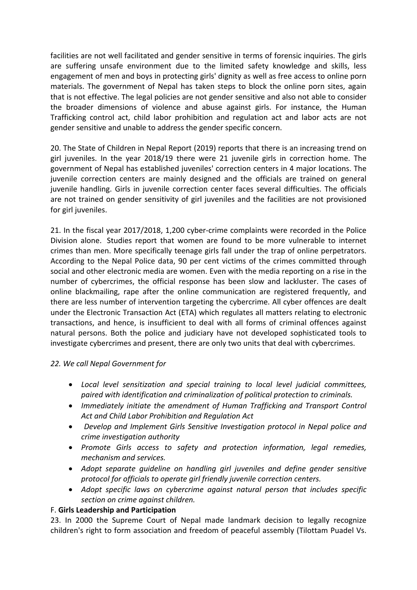facilities are not well facilitated and gender sensitive in terms of forensic inquiries. The girls are suffering unsafe environment due to the limited safety knowledge and skills, less engagement of men and boys in protecting girls' dignity as well as free access to online porn materials. The government of Nepal has taken steps to block the online porn sites, again that is not effective. The legal policies are not gender sensitive and also not able to consider the broader dimensions of violence and abuse against girls. For instance, the Human Trafficking control act, child labor prohibition and regulation act and labor acts are not gender sensitive and unable to address the gender specific concern.

20. The State of Children in Nepal Report (2019) reports that there is an increasing trend on girl juveniles. In the year 2018/19 there were 21 juvenile girls in correction home. The government of Nepal has established juveniles' correction centers in 4 major locations. The juvenile correction centers are mainly designed and the officials are trained on general juvenile handling. Girls in juvenile correction center faces several difficulties. The officials are not trained on gender sensitivity of girl juveniles and the facilities are not provisioned for girl juveniles.

21. In the fiscal year 2017/2018, 1,200 cyber-crime complaints were recorded in the Police Division alone. Studies report that women are found to be more vulnerable to internet crimes than men. More specifically teenage girls fall under the trap of online perpetrators. According to the Nepal Police data, 90 per cent victims of the crimes committed through social and other electronic media are women. Even with the media reporting on <sup>a</sup> rise in the number of cybercrimes, the official response has been slow and lackluster. The cases of online blackmailing, rape after the online communication are registered frequently, and there are less number of intervention targeting the cybercrime. All cyber offences are dealt under the Electronic Transaction Act (ETA) which regulates all matters relating to electronic transactions, and hence, is insufficient to deal with all forms of criminal offences against natural persons. Both the police and judiciary have not developed sophisticated tools to investigate cybercrimes and present, there are only two units that deal with cybercrimes.

# *22. We call Nepal Government for*

- *Local level sensitization and special training to local level judicial committees, paired with identification and criminalization of political protection to criminals.*
- *Immediately initiate the amendment of Human Trafficking and Transport Control Act and Child Labor Prohibition and Regulation Act*
- *Develop and Implement Girls Sensitive Investigation protocol in Nepal police and crime investigation authority*
- *Promote Girls access to safety and protection information, legal remedies, mechanism and services.*
- *Adopt separate guideline on handling girl juveniles and define gender sensitive protocol for officials to operate girl friendly juvenile correction centers.*
- *Adopt specific laws on cybercrime against natural person that includes specific section on crime against children.*

# F. **Girls Leadership and Participation**

23. In 2000 the Supreme Court of Nepal made landmark decision to legally recognize children's right to form association and freedom of peaceful assembly (Tilottam Puadel Vs.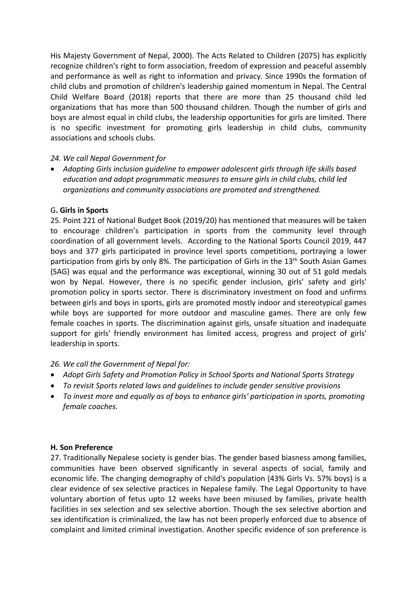His Majesty Government of Nepal, 2000). The Acts Related to Children (2075) has explicitly recognize children's right to form association, freedom of expression and peaceful assembly and performance as well as right to information and privacy. Since 1990s the formation of child clubs and promotion of children's leadership gained momentum in Nepal. The Central Child Welfare Board (2018) reports that there are more than 25 thousand child led organizations that has more than 500 thousand children. Though the number of girls and boys are almost equal in child clubs, the leadership opportunities for girls are limited. There is no specific investment for promoting girls leadership in child clubs, community associations and schools clubs.

#### *24. We call Nepal Government for*

 *Adopting Girls inclusion guideline to empower adolescent girls through life skills based education and adopt programmatic measures to ensure girls in child clubs, child led organizations and community associations are promoted and strengthened.*

#### G**. Girls in Sports**

25. Point 221 of National Budget Book (2019/20) has mentioned that measures will be taken to encourage children'<sup>s</sup> participation in sports from the community level through coordination of all government levels. According to the National Sports Council 2019, 447 boys and 377 girls participated in province level sports competitions, portraying <sup>a</sup> lower participation from girls by only 8%. The participation of Girls in the 13<sup>th</sup> South Asian Games (SAG) was equal and the performance was exceptional, winning 30 out of 51 gold medals won by Nepal. However, there is no specific gender inclusion, girls' safety and girls' promotion policy in sports sector. There is discriminatory investment on food and unfirms between girls and boys in sports, girls are promoted mostly indoor and stereotypical games while boys are supported for more outdoor and masculine games. There are only few female coaches in sports. The discrimination against girls, unsafe situation and inadequate support for girls' friendly environment has limited access, progress and project of girls' leadership in sports.

# *26. We call the Government of Nepal for:*

- *Adopt Girls Safety and Promotion Policy in School Sports and National Sports Strategy*
- *To revisit Sports related laws and guidelines to include gender sensitive provisions*
- *To invest more and equally as of boys to enhance girls' participation in sports, promoting female coaches.*

#### **H. Son Preference**

27. Traditionally Nepalese society is gender bias. The gender based biasness among families, communities have been observed significantly in several aspects of social, family and economic life. The changing demography of child's population (43% Girls Vs. 57% boys) is <sup>a</sup> clear evidence of sex selective practices in Nepalese family. The Legal Opportunity to have voluntary abortion of fetus upto 12 weeks have been misused by families, private health facilities in sex selection and sex selective abortion. Though the sex selective abortion and sex identification is criminalized, the law has not been properly enforced due to absence of complaint and limited criminal investigation. Another specific evidence of son preference is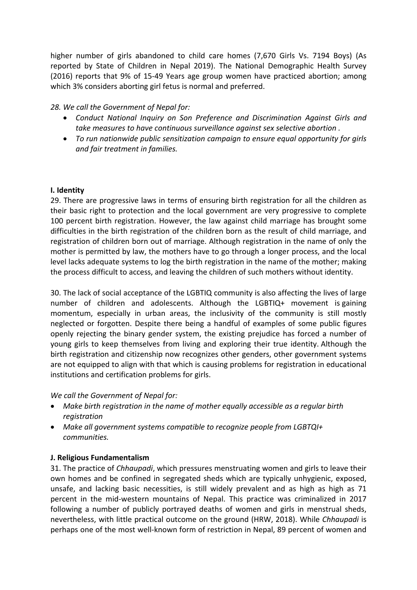higher number of girls abandoned to child care homes (7,670 Girls Vs. 7194 Boys) (As reported by State of Children in Nepal 2019). The National Demographic Health Survey (2016) reports that 9% of 15-49 Years age group women have practiced abortion; among which 3% considers aborting girl fetus is normal and preferred.

# *28. We call the Government of Nepal for:*

- *Conduct National Inquiry on Son Preference and Discrimination Against Girls and take measures to have continuous surveillance against sex selective abortion .*
- *To run nationwide public sensitization campaign to ensure equal opportunity for girls and fair treatment in families.*

#### **I. Identity**

29. There are progressive laws in terms of ensuring birth registration for all the children as their basic right to protection and the local government are very progressive to complete 100 percent birth registration. However, the law against child marriage has brought some difficulties in the birth registration of the children born as the result of child marriage, and registration of children born out of marriage. Although registration in the name of only the mother is permitted by law, the mothers have to go through <sup>a</sup> longer process, and the local level lacks adequate systems to log the birth registration in the name of the mother; making the process difficult to access, and leaving the children of such mothers without identity.

30. The lack of social acceptance of the LGBTIQ community is also affecting the lives of large number of children and adolescents. Although the LGBTIQ+ movement is gaining momentum, especially in urban areas, the inclusivity of the community is still mostly neglected or forgotten. Despite there being <sup>a</sup> handful of examples of some public figures openly rejecting the binary gender system, the existing prejudice has forced <sup>a</sup> number of young girls to keep themselves from living and exploring their true identity. Although the birth registration and citizenship now recognizes other genders, other government systems are not equipped to align with that which is causing problems for registration in educational institutions and certification problems for girls.

*We call the Government of Nepal for:*

- *Make birth registration in the name of mother equally accessible as <sup>a</sup> regular birth registration*
- *Make all government systems compatible to recognize people from LGBTQI+ communities.*

# **J. Religious Fundamentalism**

31. The practice of *Chhaupadi*, which pressures menstruating women and girls to leave their own homes and be confined in segregated sheds which are typically unhygienic, exposed, unsafe, and lacking basic necessities, is still widely prevalent and as high as high as 71 percent in the mid-western mountains of Nepal. This practice was criminalized in 2017 following <sup>a</sup> number of publicly portrayed deaths of women and girls in menstrual sheds, nevertheless, with little practical outcome on the ground (HRW, 2018). While *Chhaupadi* is perhaps one of the most well-known form of restriction in Nepal, 89 percent of women and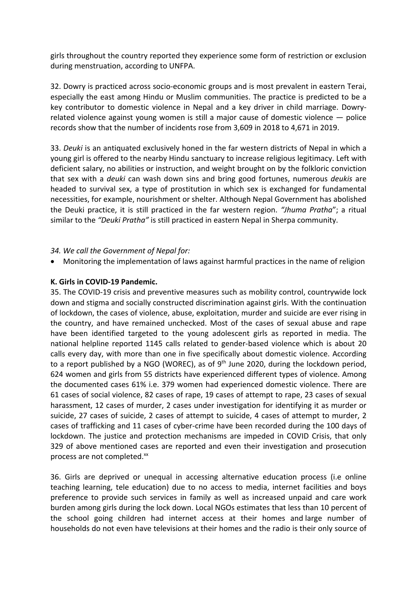girls throughout the country reported they experience some form of restriction or exclusion during menstruation, according to UNFPA.

32. Dowry is practiced across socio-economic groups and is most prevalent in eastern Terai, especially the east among Hindu or Muslim communities. The practice is predicted to be <sup>a</sup> key contributor to domestic violence in Nepal and <sup>a</sup> key driver in child marriage. Dowryrelated violence against young women is still <sup>a</sup> major cause of domestic violence — police records show that the number of incidents rose from 3,609 in 2018 to 4,671 in 2019.

33. *Deuki* is an antiquated exclusively honed in the far western districts of Nepal in which <sup>a</sup> young girl is offered to the nearby Hindu sanctuary to increase religious legitimacy. Left with deficient salary, no abilities or instruction, and weight brought on by the folkloric conviction that sex with <sup>a</sup> *deuki* can wash down sins and bring good fortunes, numerous *deukis* are headed to survival sex, <sup>a</sup> type of prostitution in which sex is exchanged for fundamental necessities, for example, nourishment or shelter. Although Nepal Government has abolished the Deuki practice, it is still practiced in the far western region. *"Jhuma Pratha*"; <sup>a</sup> ritual similar to the *"Deuki Pratha"* is still practiced in eastern Nepal in Sherpa community.

#### *34. We call the Government of Nepal for:*

Monitoring the implementation of laws against harmful practices in the name of religion

#### **K. Girls in COVID-19 Pandemic.**

35. The COVID-19 crisis and preventive measures such as mobility control, countrywide lock down and stigma and socially constructed discrimination against girls. With the continuation of lockdown, the cases of violence, abuse, exploitation, murder and suicide are ever rising in the country, and have remained unchecked. Most of the cases of sexual abuse and rape have been identified targeted to the young adolescent girls as reported in media. The national helpline reported 1145 calls related to gender-based violence which is about 20 calls every day, with more than one in five specifically about domestic violence. According to a report published by a NGO (WOREC), as of 9<sup>th</sup> June 2020, during the lockdown period, 624 women and girls from 55 districts have experienced different types of violence. Among the documented cases 61% i.e. 379 women had experienced domestic violence. There are 61 cases of social violence, 82 cases of rape, 19 cases of attempt to rape, 23 cases of sexual harassment, 12 cases of murder, 2 cases under investigation for identifying it as murder or suicide, 27 cases of suicide, 2 cases of attempt to suicide, 4 cases of attempt to murder, 2 cases of trafficking and 11 cases of cyber-crime have been recorded during the 100 days of lockdown. The justice and protection mechanisms are impeded in COVID Crisis, that only 329 of above mentioned cases are reported and even their investigation and prosecution process are not completed.<sup>xx</sup>

36. Girls are deprived or unequal in accessing alternative education process (i.e online teaching learning, tele education) due to no access to media, internet facilities and boys preference to provide such services in family as well as increased unpaid and care work burden among girls during the lock down. Local NGOs estimates that less than 10 percent of the school going children had internet access at their homes and large number of households do not even have televisions at their homes and the radio is their only source of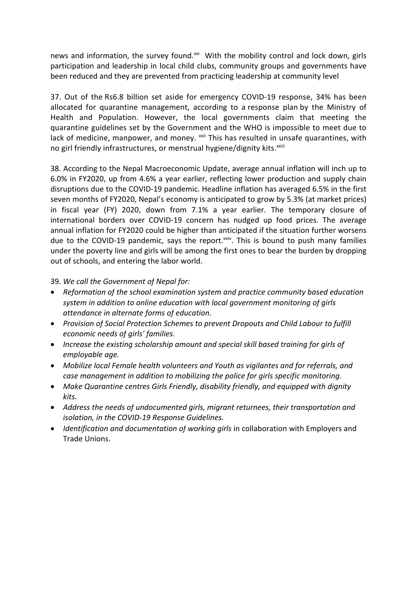news and information, the survey found.<sup>xxi</sup> With the mobility control and lock down, girls participation and leadership in local child clubs, community groups and governments have been reduced and they are prevented from practicing leadership at community level

37. Out of the Rs6.8 billion set aside for emergency COVID-19 response, 34% has been allocated for quarantine management, according to <sup>a</sup> response plan by the Ministry of Health and Population. However, the local governments claim that meeting the quarantine guidelines set by the Government and the WHO is impossible to meet due to lack of medicine, manpower, and money. <sup>xxii</sup> This has resulted in unsafe quarantines, with no girl friendly infrastructures, or menstrual hygiene/dignity kits.<sup>xxiii</sup>

38. According to the Nepal Macroeconomic Update, average annual inflation will inch up to 6.0% in FY2020, up from 4.6% <sup>a</sup> year earlier, reflecting lower production and supply chain disruptions due to the COVID-19 pandemic. Headline inflation has averaged 6.5% in the first seven months of FY2020, Nepal'<sup>s</sup> economy is anticipated to grow by 5.3% (at market prices) in fiscal year (FY) 2020, down from 7.1% <sup>a</sup> year earlier. The temporary closure of international borders over COVID-19 concern has nudged up food prices. The average annual inflation for FY2020 could be higher than anticipated if the situation further worsens due to the COVID-19 pandemic, says the report.<sup>xxiv</sup>. This is bound to push many families under the poverty line and girls will be among the first ones to bear the burden by dropping out of schools, and entering the labor world.

39. *We call the Government of Nepal for:*

- *Reformation of the school examination system and practice community based education system in addition to online education with local government monitoring of girls attendance in alternate forms of education.*
- *Provision of Social Protection Schemes to prevent Dropouts and Child Labour to fulfill economic needs of girls' families.*
- *Increase the existing scholarship amount and special skill based training for girls of employable age.*
- *Mobilize local Female health volunteers and Youth as vigilantes and for referrals, and case management in addition to mobilizing the police for girls specific monitoring.*
- *Make Quarantine centres Girls Friendly, disability friendly, and equipped with dignity kits.*
- *Address the needs of undocumented girls, migrant returnees, their transportation and isolation, in the COVID-19 Response Guidelines.*
- *Identification and documentation of working girls* in collaboration with Employers and Trade Unions.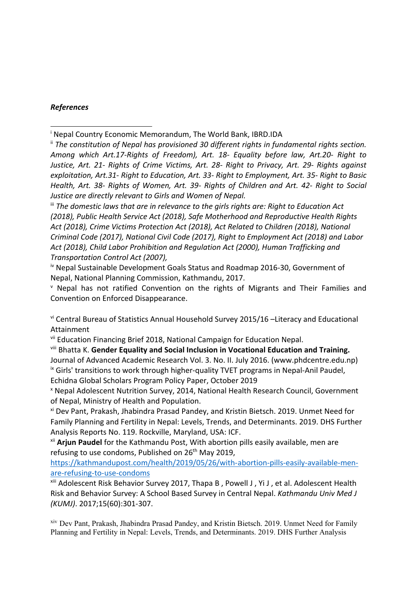#### *References*

iii *The domestic laws that are in relevance to the girls rights are: Right to Education Act (2018), Public Health Service Act (2018), Safe Motherhood and Reproductive Health Rights Act (2018), Crime Victims Protection Act (2018), Act Related to Children (2018), National Criminal Code (2017), National Civil Code (2017), Right to Employment Act (2018) and Labor Act (2018), Child Labor Prohibition and Regulation Act (2000), Human Trafficking and Transportation Control Act (2007),*

<sup>iv</sup> Nepal Sustainable Development Goals Status and Roadmap 2016-30, Government of Nepal, National Planning Commission, Kathmandu, 2017.

v Nepal has not ratified Convention on the rights of Migrants and Their Families and Convention on Enforced Disappearance.

vi Central Bureau of Statistics Annual Household Survey 2015/16 –Literacy and Educational Attainment

vii Education Financing Brief 2018, National Campaign for Education Nepal.

viii Bhatta K. **Gender Equality and Social Inclusion in Vocational Education and Training.** Journal of Advanced Academic Research Vol. 3. No. II. July 2016. (www.phdcentre.edu.np) <sup>ix</sup> Girls' transitions to work through higher-quality TVET programs in Nepal-Anil Paudel, Echidna Global Scholars Program Policy Paper, October 2019

x Nepal Adolescent Nutrition Survey, 2014, National Health Research Council, Government of Nepal, Ministry of Health and Population.

<sup>xi</sup> Dev Pant, Prakash, Jhabindra Prasad Pandey, and Kristin Bietsch. 2019. Unmet Need for Family Planning and Fertility in Nepal: Levels, Trends, and Determinants. 2019. DHS Further Analysis Reports No. 119. Rockville, Maryland, USA: ICF.

xii **Arjun Paudel** for the Kathmandu Post, With abortion pills easily available, men are refusing to use condoms, Published on 26<sup>th</sup> May 2019,

[https://kathmandupost.com/health/2019/05/26/with-abortion-pills-easily-available-men](https://kathmandupost.com/health/2019/05/26/with-abortion-pills-easily-available-men-are-refusing-to-use-condoms)[are-refusing-to-use-condoms](https://kathmandupost.com/health/2019/05/26/with-abortion-pills-easily-available-men-are-refusing-to-use-condoms)

xiii Adolescent Risk Behavior Survey 2017, Thapa B , Powell J , Yi J , et al. Adolescent Health Risk and Behavior Survey: A School Based Survey in Central Nepal. *Kathmandu Univ Med J (KUMJ)*. 2017;15(60):301-307.

xiv Dev Pant, Prakash, Jhabindra Prasad Pandey, and Kristin Bietsch. 2019. Unmet Need for Family Planning and Fertility in Nepal: Levels, Trends, and Determinants. 2019. DHS Further Analysis

i Nepal Country Economic Memorandum, The World Bank, IBRD.IDA

ii *The constitution of Nepal has provisioned 30 different rights in fundamental rights section. Among which Art.17-Rights of Freedom), Art. 18- Equality before law, Art.20- Right to Justice, Art. 21- Rights of Crime Victims, Art. 28- Right to Privacy, Art. 29- Rights against exploitation, Art.31- Right to Education, Art. 33- Right to Employment, Art. 35- Right to Basic Health, Art. 38- Rights of Women, Art. 39- Rights of Children and Art. 42- Right to Social Justice are directly relevant to Girls and Women of Nepal.*